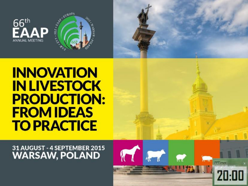



31 AUGUST - 4 SEPTEMBER 2015 **WARSAW, POLAND** 

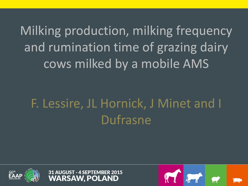Milking production, milking frequency and rumination time of grazing dairy cows milked by a mobile AMS

# F. Lessire, JL Hornick, J Minet and I Dufrasne





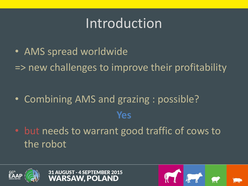## Introduction

• AMS spread worldwide => new challenges to improve their profitability

- Combining AMS and grazing : possible? **Yes**  • but needs to warrant good traffic of cows to
- the robot





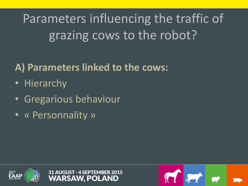Parameters influencing the traffic of grazing cows to the robot?

#### **A) Parameters linked to the cows:**

- Hierarchy
- Gregarious behaviour
- « Personnality »



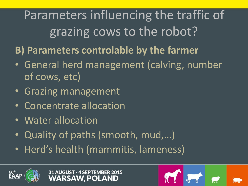Parameters influencing the traffic of grazing cows to the robot?

- **B) Parameters controlable by the farmer**
- General herd management (calving, number of cows, etc)
- Grazing management
- Concentrate allocation
- Water allocation
- Quality of paths (smooth, mud,…)
- Herd's health (mammitis, lameness)



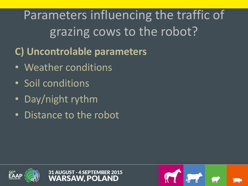Parameters influencing the traffic of grazing cows to the robot?

- **C) Uncontrolable parameters**
- Weather conditions
- Soil conditions
- Day/night rythm
- Distance to the robot



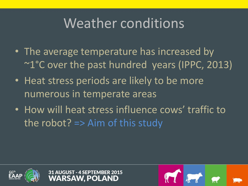## Weather conditions

- The average temperature has increased by ~1°C over the past hundred years (IPPC, 2013)
- Heat stress periods are likely to be more numerous in temperate areas
- How will heat stress influence cows' traffic to the robot? => Aim of this study



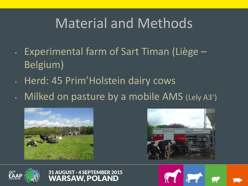## Material and Methods

- Experimental farm of Sart Timan (Liège Belgium)
- Herd: 45 Prim'Holstein dairy cows
- Milked on pasture by a mobile AMS (Lely A3® )









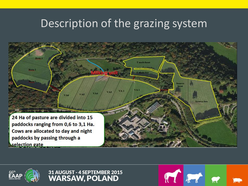#### Description of the grazing system







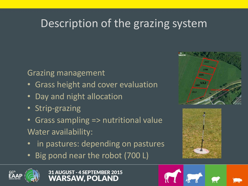#### Description of the grazing system

#### Grazing management

- Grass height and cover evaluation
- Day and night allocation
- Strip-grazing
- Grass sampling => nutritional value Water availability:
- in pastures: depending on pastures
- Big pond near the robot (700 L)











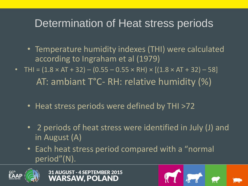#### Determination of Heat stress periods

- Temperature humidity indexes (THI) were calculated according to Ingraham et al (1979)
- THI =  $(1.8 \times AT + 32) (0.55 0.55 \times RH) \times [(1.8 \times AT + 32) 58]$ AT: ambiant T°C- RH: relative humidity (%)
	- Heat stress periods were defined by THI >72
	- 2 periods of heat stress were identified in July (J) and in August (A)
	- Each heat stress period compared with a "normal period"(N).



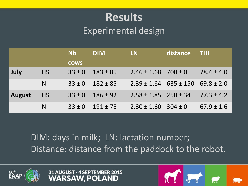#### **Results** Experimental design

|               |           | <b>Nb</b>   | <b>DIM</b>   | LN.                                  | distance | <b>THI</b>     |
|---------------|-----------|-------------|--------------|--------------------------------------|----------|----------------|
|               |           | <b>COWS</b> |              |                                      |          |                |
| July          | <b>HS</b> | $33 \pm 0$  | $183 \pm 85$ | $2.46 \pm 1.68$ 700 ± 0              |          | $78.4 \pm 4.0$ |
|               | N         | $33 \pm 0$  | $182 \pm 85$ | $2.39 \pm 1.64$ 635 ± 150 69.8 ± 2.0 |          |                |
| <b>August</b> | <b>HS</b> | $33 \pm 0$  | $186 \pm 92$ | $2.58 \pm 1.85$ $250 \pm 34$         |          | $77.3 \pm 4.2$ |
|               | N         | $33 \pm 0$  | $191 \pm 75$ | $2.30 \pm 1.60$ 304 ± 0              |          | $67.9 \pm 1.6$ |

DIM: days in milk; LN: lactation number; Distance: distance from the paddock to the robot.





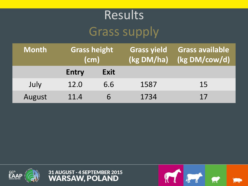## Results Grass supply

| <b>Month</b> | <b>Grass height</b><br>$\mathsf{(cm)}$ |      | <b>Grass yield</b><br>(kg DM/ha) | <b>Grass available</b><br>(kg DM/cow/d) |
|--------------|----------------------------------------|------|----------------------------------|-----------------------------------------|
|              | <b>Entry</b>                           | Exit |                                  |                                         |
| July         | 12.0                                   | 6.6  | 1587                             | 15                                      |
| August       | 11.4                                   |      | 1734                             | 17                                      |





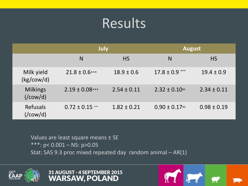### Results

|                                             | July                |                 | <b>August</b>                 |                 |  |
|---------------------------------------------|---------------------|-----------------|-------------------------------|-----------------|--|
|                                             | N                   | <b>HS</b>       | N                             | <b>HS</b>       |  |
| Milk yield<br>(kg/cow/d)                    | $21.8 \pm 0.6***$   | $18.9 \pm 0.6$  | $17.8 \pm 0.9$ ***            | $19.4 \pm 0.9$  |  |
| <b>Milkings</b><br>$\frac{1}{\cos(1)}$      | $2.19 \pm 0.08***$  | $2.54 \pm 0.11$ | $2.32 \pm 0.10$ <sup>NS</sup> | $2.34 \pm 0.11$ |  |
| <b>Refusals</b><br>$\frac{1}{\text{Cow/d}}$ | $0.72 \pm 0.15$ *** | $1.82 \pm 0.21$ | $0.90 \pm 0.17$ <sup>NS</sup> | $0.98 \pm 0.19$ |  |

Values are least square means ± SE \*\*\*: p< 0.001 – NS: p>0.05 Stat: SAS 9.3 proc mixed repeated day random animal – AR(1)





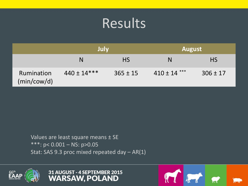### **Results**

|                                  | July            |              | <b>August</b>    |              |  |
|----------------------------------|-----------------|--------------|------------------|--------------|--|
|                                  | N               | <b>HS</b>    |                  | <b>HS</b>    |  |
| <b>Rumination</b><br>(min/cow/d) | $440 \pm 14***$ | $365 \pm 15$ | $410 \pm 14$ *** | $306 \pm 17$ |  |

Values are least square means ± SE \*\*\*: p< 0.001 – NS: p>0.05 Stat: SAS 9.3 proc mixed repeated day – AR(1)





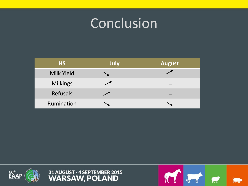## **Conclusion**

| <b>HS</b>       | <b>July</b> | <b>August</b> |
|-----------------|-------------|---------------|
| Milk Yield      |             |               |
| <b>Milkings</b> |             |               |
| <b>Refusals</b> |             |               |
| Rumination      |             |               |





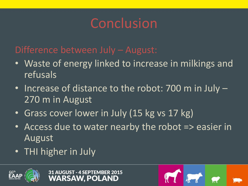## Conclusion

#### Difference between July – August:

- Waste of energy linked to increase in milkings and refusals
- Increase of distance to the robot: 700 m in July 270 m in August
- Grass cover lower in July (15 kg vs 17 kg)
- Access due to water nearby the robot => easier in August
- THI higher in July



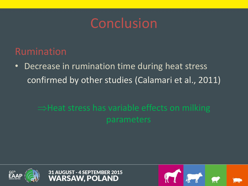#### Conclusion

#### Rumination

• Decrease in rumination time during heat stress confirmed by other studies (Calamari et al., 2011)

#### $\Rightarrow$  Heat stress has variable effects on milking parameters